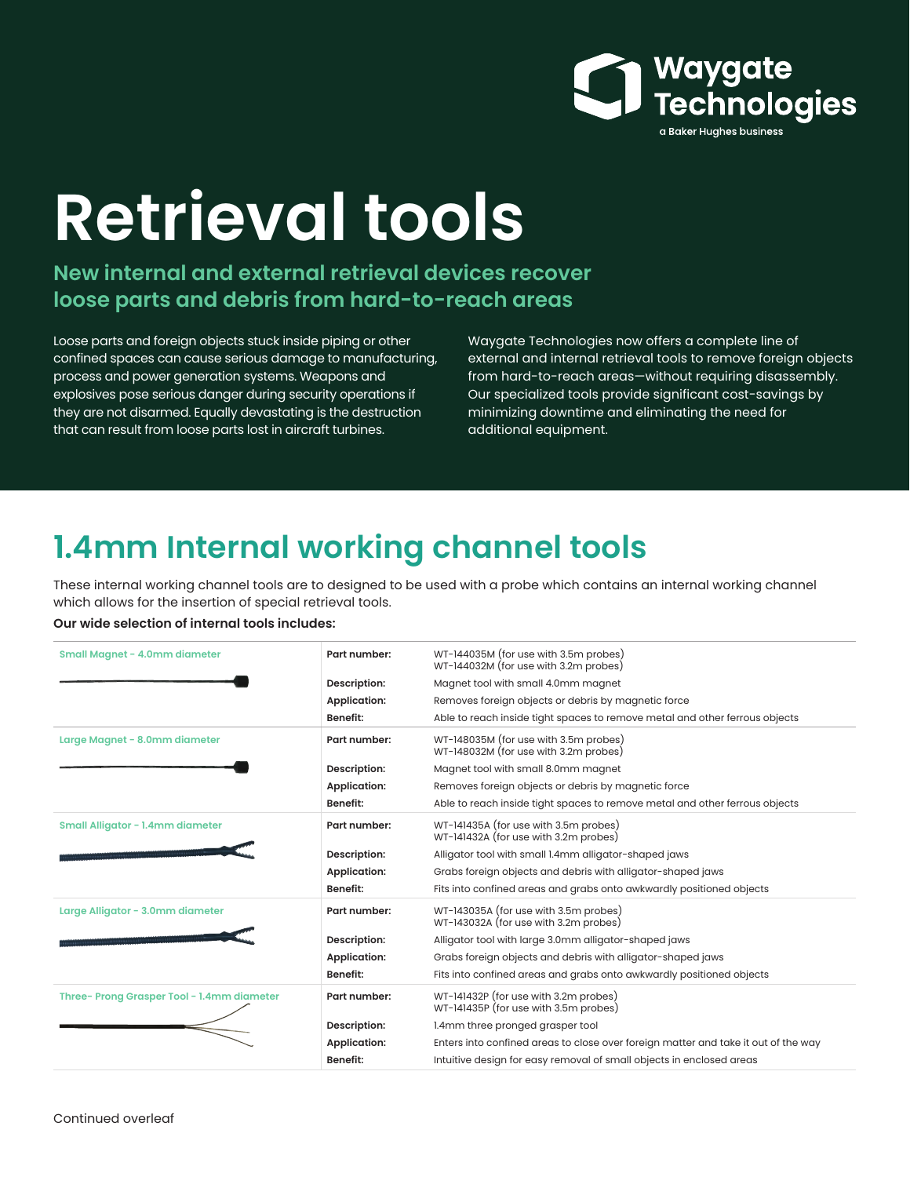

# **Retrieval tools**

**New internal and external retrieval devices recover loose parts and debris from hard-to-reach areas**

Loose parts and foreign objects stuck inside piping or other confined spaces can cause serious damage to manufacturing, process and power generation systems. Weapons and explosives pose serious danger during security operations if they are not disarmed. Equally devastating is the destruction that can result from loose parts lost in aircraft turbines.

Waygate Technologies now offers a complete line of external and internal retrieval tools to remove foreign objects from hard-to-reach areas—without requiring disassembly. Our specialized tools provide significant cost-savings by minimizing downtime and eliminating the need for additional equipment.

## **1.4mm Internal working channel tools**

These internal working channel tools are to designed to be used with a probe which contains an internal working channel which allows for the insertion of special retrieval tools.

#### **Our wide selection of internal tools includes:**

| Small Magnet - 4.0mm diameter             | Part number:        | WT-144035M (for use with 3.5m probes)<br>WT-144032M (for use with 3.2m probes)     |
|-------------------------------------------|---------------------|------------------------------------------------------------------------------------|
|                                           | Description:        | Magnet tool with small 4.0mm magnet                                                |
|                                           | <b>Application:</b> | Removes foreign objects or debris by magnetic force                                |
|                                           | <b>Benefit:</b>     | Able to reach inside tight spaces to remove metal and other ferrous objects        |
| Large Magnet - 8.0mm diameter             | Part number:        | WT-148035M (for use with 3.5m probes)<br>WT-148032M (for use with 3.2m probes)     |
|                                           | Description:        | Magnet tool with small 8.0mm magnet                                                |
|                                           | <b>Application:</b> | Removes foreign objects or debris by magnetic force                                |
|                                           | <b>Benefit:</b>     | Able to reach inside tight spaces to remove metal and other ferrous objects        |
| Small Alligator - 1.4mm diameter          | Part number:        | WT-141435A (for use with 3.5m probes)<br>WT-141432A (for use with 3.2m probes)     |
|                                           | Description:        | Alligator tool with small 1.4mm alligator-shaped jaws                              |
|                                           | <b>Application:</b> | Grabs foreign objects and debris with alligator-shaped jaws                        |
|                                           | <b>Benefit:</b>     | Fits into confined areas and grabs onto awkwardly positioned objects               |
| Large Alligator - 3.0mm diameter          | Part number:        | WT-143035A (for use with 3.5m probes)<br>WT-143032A (for use with 3.2m probes)     |
|                                           | Description:        | Alligator tool with large 3.0mm alligator-shaped jaws                              |
|                                           | <b>Application:</b> | Grabs foreign objects and debris with alligator-shaped jaws                        |
|                                           | <b>Benefit:</b>     | Fits into confined areas and grabs onto awkwardly positioned objects               |
| Three-Prong Grasper Tool - 1.4mm diameter | Part number:        | WT-141432P (for use with 3.2m probes)<br>WT-141435P (for use with 3.5m probes)     |
|                                           | Description:        | 1.4mm three pronged grasper tool                                                   |
|                                           | <b>Application:</b> | Enters into confined areas to close over foreign matter and take it out of the way |
|                                           | <b>Benefit:</b>     | Intuitive design for easy removal of small objects in enclosed areas               |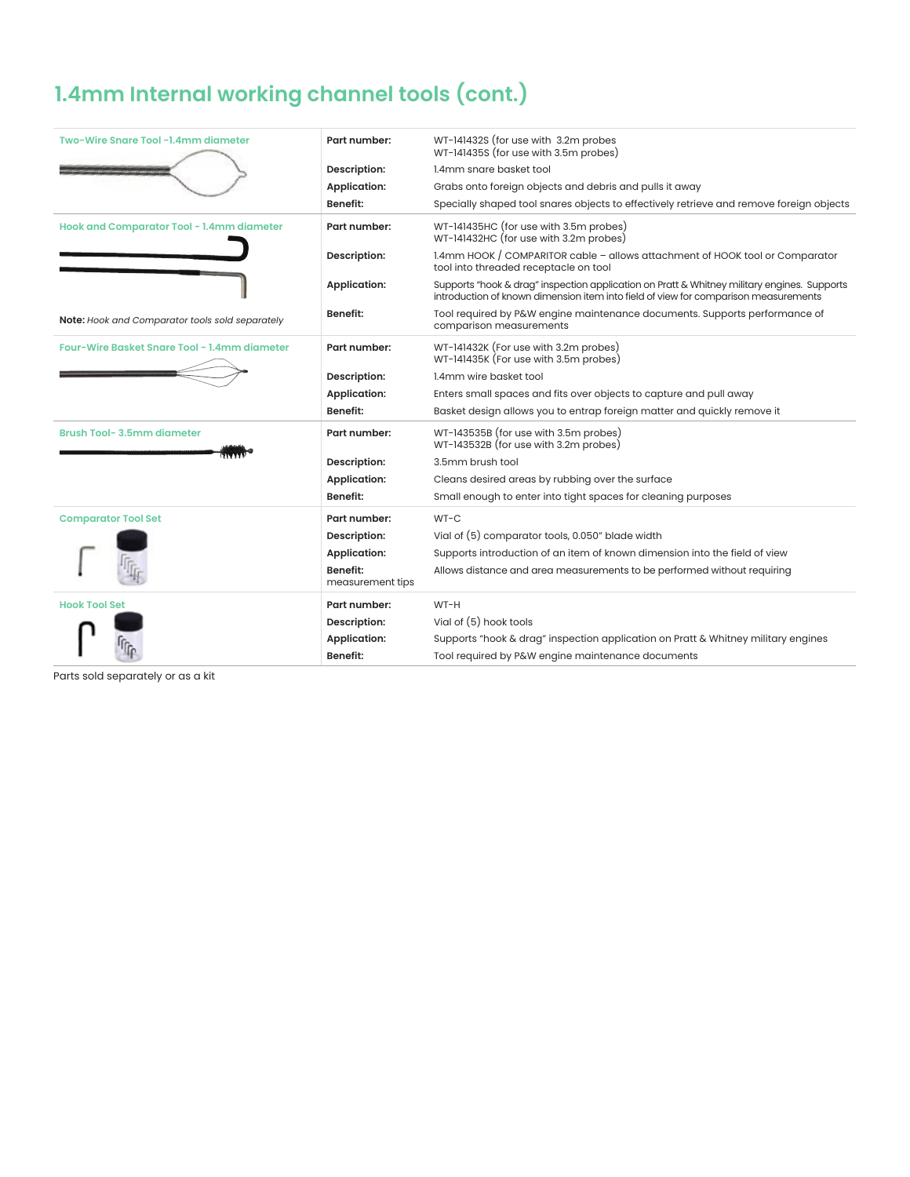## **1.4mm Internal working channel tools (cont.)**

| Two-Wire Snare Tool -1.4mm diameter             | Part number:                        | WT-141432S (for use with 3.2m probes<br>WT-141435S (for use with 3.5m probes)                                                                                                      |
|-------------------------------------------------|-------------------------------------|------------------------------------------------------------------------------------------------------------------------------------------------------------------------------------|
|                                                 | Description:                        | 1.4mm snare basket tool                                                                                                                                                            |
|                                                 | <b>Application:</b>                 | Grabs onto foreign objects and debris and pulls it away                                                                                                                            |
|                                                 | <b>Benefit:</b>                     | Specially shaped tool snares objects to effectively retrieve and remove foreign objects                                                                                            |
| Hook and Comparator Tool - 1.4mm diameter       | Part number:                        | WT-141435HC (for use with 3.5m probes)<br>WT-141432HC (for use with 3.2m probes)                                                                                                   |
|                                                 | Description:                        | 1.4mm HOOK / COMPARITOR cable - allows attachment of HOOK tool or Comparator<br>tool into threaded receptacle on tool                                                              |
|                                                 | <b>Application:</b>                 | Supports "hook & drag" inspection application on Pratt & Whitney military engines. Supports<br>introduction of known dimension item into field of view for comparison measurements |
| Note: Hook and Comparator tools sold separately | <b>Benefit:</b>                     | Tool required by P&W engine maintenance documents. Supports performance of<br>comparison measurements                                                                              |
| Four-Wire Basket Snare Tool - 1.4mm diameter    | Part number:                        | WT-141432K (For use with 3.2m probes)<br>WT-141435K (For use with 3.5m probes)                                                                                                     |
|                                                 | Description:                        | 1.4mm wire basket tool                                                                                                                                                             |
|                                                 | <b>Application:</b>                 | Enters small spaces and fits over objects to capture and pull away                                                                                                                 |
|                                                 | <b>Benefit:</b>                     | Basket design allows you to entrap foreign matter and quickly remove it                                                                                                            |
| <b>Brush Tool-3.5mm diameter</b>                | Part number:                        | WT-143535B (for use with 3.5m probes)<br>WT-143532B (for use with 3.2m probes)                                                                                                     |
|                                                 | Description:                        | 3.5mm brush tool                                                                                                                                                                   |
|                                                 | <b>Application:</b>                 | Cleans desired areas by rubbing over the surface                                                                                                                                   |
|                                                 | Benefit:                            | Small enough to enter into tight spaces for cleaning purposes                                                                                                                      |
| <b>Comparator Tool Set</b>                      | Part number:                        | $WT-C$                                                                                                                                                                             |
|                                                 | Description:                        | Vial of (5) comparator tools, 0.050" blade width                                                                                                                                   |
|                                                 | <b>Application:</b>                 | Supports introduction of an item of known dimension into the field of view                                                                                                         |
|                                                 | <b>Benefit:</b><br>measurement tips | Allows distance and area measurements to be performed without requiring                                                                                                            |
| <b>Hook Tool Set</b>                            | Part number:                        | WT-H                                                                                                                                                                               |
|                                                 | Description:                        | Vial of (5) hook tools                                                                                                                                                             |
|                                                 | <b>Application:</b>                 | Supports "hook & drag" inspection application on Pratt & Whitney military engines                                                                                                  |
|                                                 | <b>Benefit:</b>                     | Tool required by P&W engine maintenance documents                                                                                                                                  |

Parts sold separately or as a kit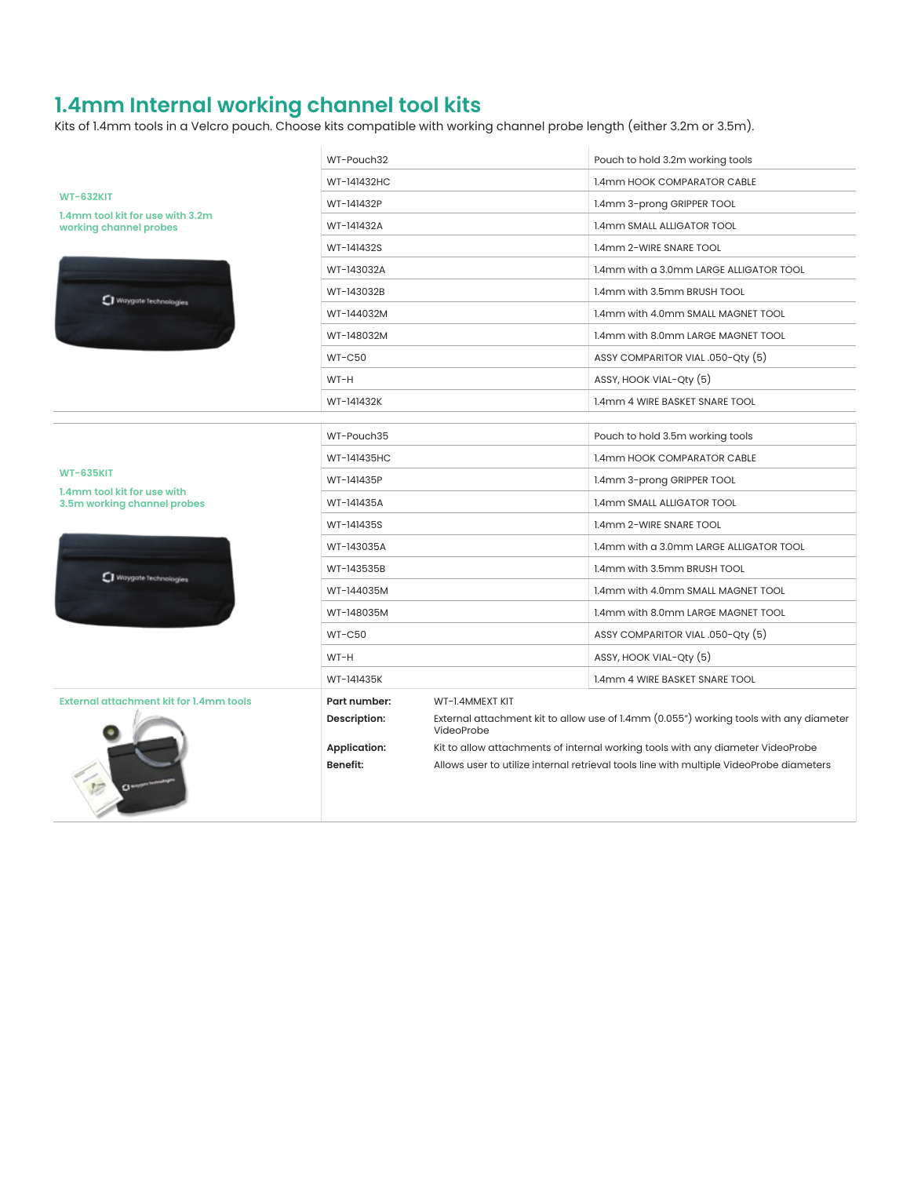### **1.4mm Internal working channel tool kits**

Kits of 1.4mm tools in a Velcro pouch. Choose kits compatible with working channel probe length (either 3.2m or 3.5m).

|                                                            | WT-Pouch32          |                                                                                                      | Pouch to hold 3.2m working tools                                                        |
|------------------------------------------------------------|---------------------|------------------------------------------------------------------------------------------------------|-----------------------------------------------------------------------------------------|
|                                                            | WT-141432HC         |                                                                                                      | 1.4mm HOOK COMPARATOR CABLE                                                             |
| <b>WT-632KIT</b>                                           | WT-141432P          |                                                                                                      | 1.4mm 3-prong GRIPPER TOOL                                                              |
| 1.4mm tool kit for use with 3.2m<br>working channel probes | WT-141432A          |                                                                                                      | 1.4mm SMALL ALLIGATOR TOOL                                                              |
|                                                            | WT-141432S          |                                                                                                      | 1.4mm 2-WIRE SNARE TOOL                                                                 |
|                                                            | WT-143032A          |                                                                                                      | 1.4mm with a 3.0mm LARGE ALLIGATOR TOOL                                                 |
|                                                            | WT-143032B          |                                                                                                      | 1.4mm with 3.5mm BRUSH TOOL                                                             |
| Waygate Technologies                                       | WT-144032M          |                                                                                                      | 1.4mm with 4.0mm SMALL MAGNET TOOL                                                      |
|                                                            | WT-148032M          |                                                                                                      | 1.4mm with 8.0mm LARGE MAGNET TOOL                                                      |
|                                                            | <b>WT-C50</b>       |                                                                                                      | ASSY COMPARITOR VIAL .050-Qty (5)                                                       |
|                                                            | WT-H                |                                                                                                      | ASSY, HOOK VIAL-Qty (5)                                                                 |
|                                                            | WT-141432K          |                                                                                                      | 1.4mm 4 WIRE BASKET SNARE TOOL                                                          |
|                                                            |                     |                                                                                                      |                                                                                         |
|                                                            | WT-Pouch35          |                                                                                                      | Pouch to hold 3.5m working tools                                                        |
|                                                            | WT-141435HC         |                                                                                                      | <b>1.4mm HOOK COMPARATOR CABLE</b>                                                      |
| <b>WT-635KIT</b><br>1.4mm tool kit for use with            | WT-141435P          |                                                                                                      | 1.4mm 3-prong GRIPPER TOOL                                                              |
| 3.5m working channel probes                                | WT-141435A          |                                                                                                      | 1.4mm SMALL ALLIGATOR TOOL                                                              |
|                                                            | WT-141435S          |                                                                                                      | 1.4mm 2-WIRE SNARE TOOL                                                                 |
|                                                            | WT-143035A          |                                                                                                      | 1.4mm with a 3.0mm LARGE ALLIGATOR TOOL                                                 |
| Waygate Technologies                                       | WT-143535B          |                                                                                                      | 1.4mm with 3.5mm BRUSH TOOL                                                             |
|                                                            | WT-144035M          |                                                                                                      | 1.4mm with 4.0mm SMALL MAGNET TOOL                                                      |
|                                                            | WT-148035M          |                                                                                                      | 1.4mm with 8.0mm LARGE MAGNET TOOL                                                      |
|                                                            | $WT-C50$            |                                                                                                      | ASSY COMPARITOR VIAL .050-Qty (5)                                                       |
|                                                            | WT-H                |                                                                                                      | ASSY, HOOK VIAL-Qty (5)                                                                 |
|                                                            | WT-141435K          |                                                                                                      | 1.4mm 4 WIRE BASKET SNARE TOOL                                                          |
| External attachment kit for 1.4mm tools                    | Part number:        | WT-1.4MMEXT KIT                                                                                      |                                                                                         |
|                                                            | Description:        | External attachment kit to allow use of 1.4mm (0.055") working tools with any diameter<br>VideoProbe |                                                                                         |
|                                                            | <b>Application:</b> |                                                                                                      | Kit to allow attachments of internal working tools with any diameter VideoProbe         |
|                                                            | <b>Benefit:</b>     |                                                                                                      | Allows user to utilize internal retrieval tools line with multiple VideoProbe diameters |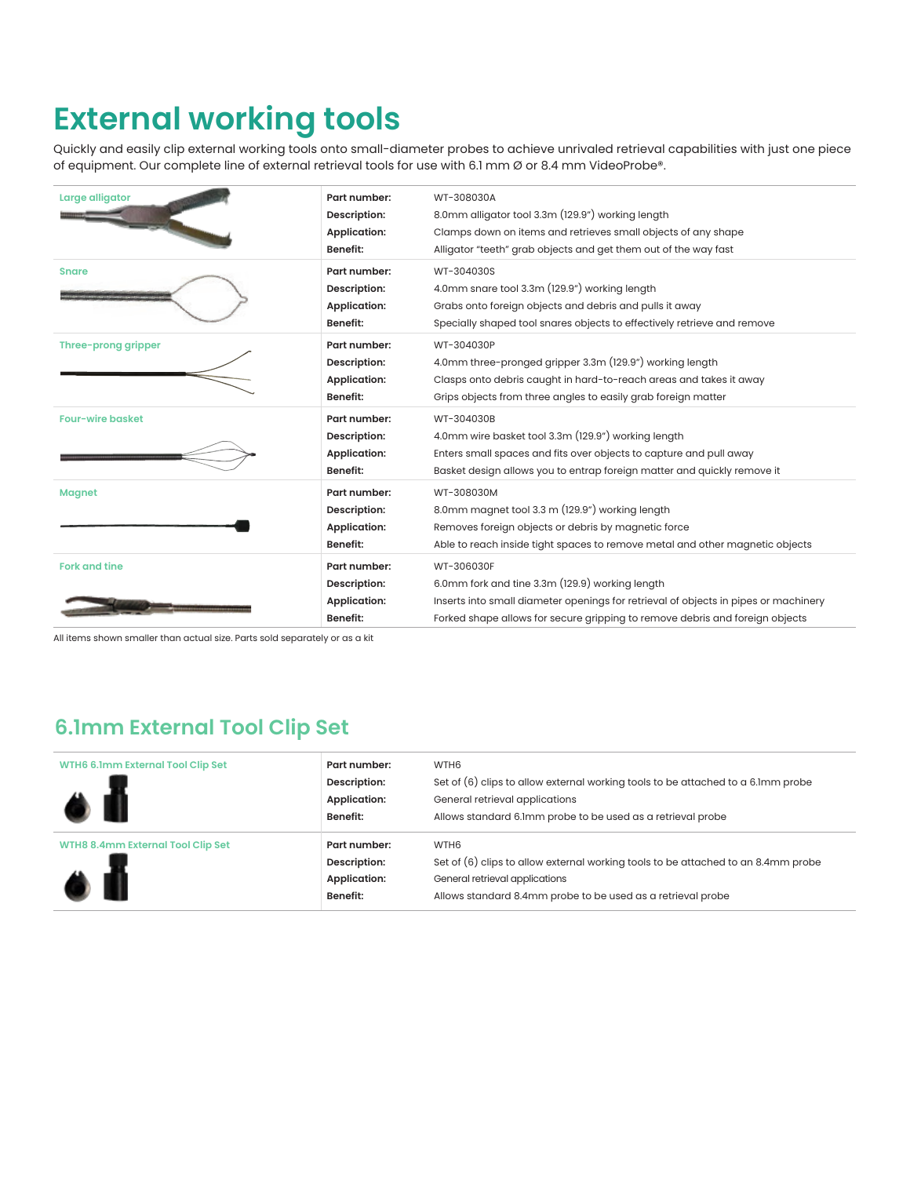## **External working tools**

Quickly and easily clip external working tools onto small-diameter probes to achieve unrivaled retrieval capabilities with just one piece of equipment. Our complete line of external retrieval tools for use with 6.1 mm Ø or 8.4 mm VideoProbe®.

| Large alligator         | Part number:<br>Description:<br><b>Application:</b><br><b>Benefit:</b> | WT-308030A<br>8.0mm alligator tool 3.3m (129.9") working length<br>Clamps down on items and retrieves small objects of any shape<br>Alligator "teeth" grab objects and get them out of the way fast                                  |
|-------------------------|------------------------------------------------------------------------|--------------------------------------------------------------------------------------------------------------------------------------------------------------------------------------------------------------------------------------|
| <b>Snare</b>            | Part number:<br>Description:<br><b>Application:</b><br>Benefit:        | WT-304030S<br>4.0mm snare tool 3.3m (129.9") working length<br>Grabs onto foreign objects and debris and pulls it away<br>Specially shaped tool snares objects to effectively retrieve and remove                                    |
| Three-prong gripper     | Part number:<br>Description:<br><b>Application:</b><br><b>Benefit:</b> | WT-304030P<br>4.0mm three-pronged gripper 3.3m (129.9") working length<br>Clasps onto debris caught in hard-to-reach areas and takes it away<br>Grips objects from three angles to easily grab foreign matter                        |
| <b>Four-wire basket</b> | Part number:<br>Description:<br><b>Application:</b><br><b>Benefit:</b> | WT-304030B<br>4.0mm wire basket tool 3.3m (129.9") working length<br>Enters small spaces and fits over objects to capture and pull away<br>Basket design allows you to entrap foreign matter and quickly remove it                   |
| <b>Magnet</b>           | Part number:<br>Description:<br><b>Application:</b><br>Benefit:        | WT-308030M<br>8.0mm magnet tool 3.3 m (129.9") working length<br>Removes foreign objects or debris by magnetic force<br>Able to reach inside tight spaces to remove metal and other magnetic objects                                 |
| <b>Fork and tine</b>    | Part number:<br>Description:<br><b>Application:</b><br><b>Benefit:</b> | WT-306030F<br>6.0mm fork and tine 3.3m (129.9) working length<br>Inserts into small diameter openings for retrieval of objects in pipes or machinery<br>Forked shape allows for secure gripping to remove debris and foreign objects |

All items shown smaller than actual size. Parts sold separately or as a kit

#### **6.1mm External Tool Clip Set**

| WTH6 6.1mm External Tool Clip Set<br>$\bullet$ M | Part number:<br>Description:<br><b>Application:</b><br><b>Benefit:</b> | WTH <sub>6</sub><br>Set of $(6)$ clips to allow external working tools to be attached to a 6.1mm probe<br>General retrieval applications<br>Allows standard 6.1mm probe to be used as a retrieval probe  |
|--------------------------------------------------|------------------------------------------------------------------------|----------------------------------------------------------------------------------------------------------------------------------------------------------------------------------------------------------|
| WTH8 8.4mm External Tool Clip Set<br>$\bullet$ 1 | Part number:<br>Description:<br><b>Application:</b><br><b>Benefit:</b> | WTH <sub>6</sub><br>Set of $(6)$ clips to allow external working tools to be attached to an 8.4mm probe<br>General retrieval applications<br>Allows standard 8.4mm probe to be used as a retrieval probe |